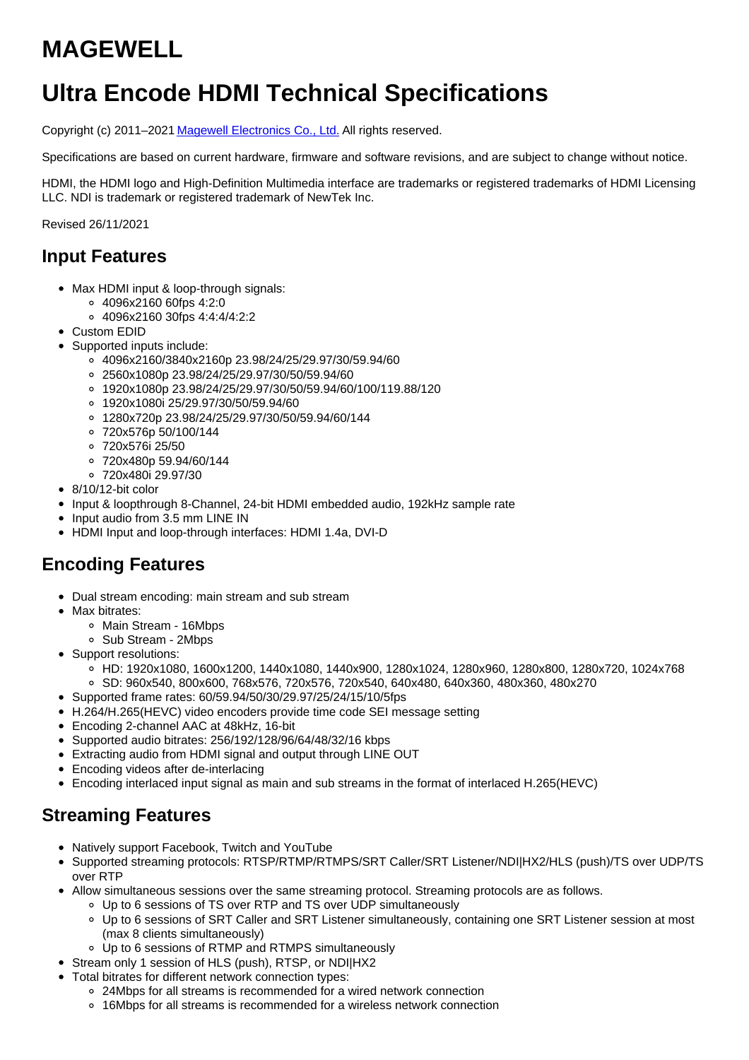# **MAGEWELL**

# **Ultra Encode HDMI Technical Specifications**

Copyright (c) 2011-2021 Magewell [Electronics](http://www.magewell.com) Co., Ltd. All rights reserved.

Specifications are based on current hardware, firmware and software revisions, and are subject to change without notice.

HDMI, the HDMI logo and High-Definition Multimedia interface are trademarks or registered trademarks of HDMI Licensing LLC. NDI is trademark or registered trademark of NewTek Inc.

Revised 26/11/2021

#### **Input Features**

- Max HDMI input & loop-through signals:
	- 4096x2160 60fps 4:2:0
	- 4096x2160 30fps 4:4:4/4:2:2
- Custom EDID
- Supported inputs include:
	- 4096x2160/3840x2160p 23.98/24/25/29.97/30/59.94/60
	- 2560x1080p 23.98/24/25/29.97/30/50/59.94/60
	- 1920x1080p 23.98/24/25/29.97/30/50/59.94/60/100/119.88/120
	- 1920x1080i 25/29.97/30/50/59.94/60
	- 1280x720p 23.98/24/25/29.97/30/50/59.94/60/144
	- 720x576p 50/100/144
	- 720x576i 25/50
	- 720x480p 59.94/60/144
	- 720x480i 29.97/30
- 8/10/12-bit color
- Input & loopthrough 8-Channel, 24-bit HDMI embedded audio, 192kHz sample rate
- Input audio from 3.5 mm LINE IN
- HDMI Input and loop-through interfaces: HDMI 1.4a, DVI-D

# **Encoding Features**

- Dual stream encoding: main stream and sub stream
- Max bitrates:
	- Main Stream 16Mbps
	- Sub Stream 2Mbps
- Support resolutions:
	- HD: 1920x1080, 1600x1200, 1440x1080, 1440x900, 1280x1024, 1280x960, 1280x800, 1280x720, 1024x768 SD: 960x540, 800x600, 768x576, 720x576, 720x540, 640x480, 640x360, 480x360, 480x270
- Supported frame rates: 60/59.94/50/30/29.97/25/24/15/10/5fps
- H.264/H.265(HEVC) video encoders provide time code SEI message setting
- Encoding 2-channel AAC at 48kHz, 16-bit
- Supported audio bitrates: 256/192/128/96/64/48/32/16 kbps
- Extracting audio from HDMI signal and output through LINE OUT
- Encoding videos after de-interlacing
- Encoding interlaced input signal as main and sub streams in the format of interlaced H.265(HEVC)

#### **Streaming Features**

- Natively support Facebook, Twitch and YouTube
- Supported streaming protocols: RTSP/RTMP/RTMPS/SRT Caller/SRT Listener/NDI|HX2/HLS (push)/TS over UDP/TS over RTP
- Allow simultaneous sessions over the same streaming protocol. Streaming protocols are as follows.
	- Up to 6 sessions of TS over RTP and TS over UDP simultaneously
	- Up to 6 sessions of SRT Caller and SRT Listener simultaneously, containing one SRT Listener session at most (max 8 clients simultaneously)
	- Up to 6 sessions of RTMP and RTMPS simultaneously
- Stream only 1 session of HLS (push), RTSP, or NDI|HX2
- Total bitrates for different network connection types:
	- 24Mbps for all streams is recommended for a wired network connection
	- 16Mbps for all streams is recommended for a wireless network connection